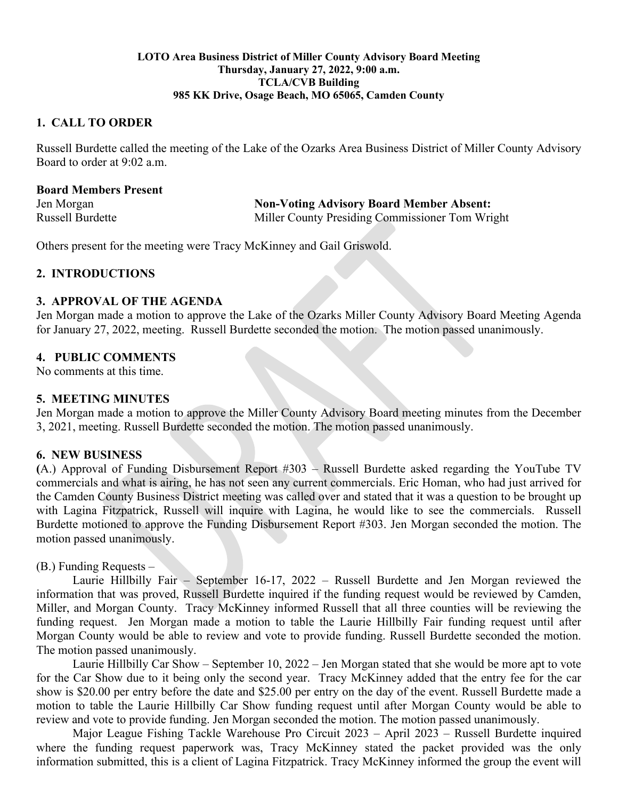#### **LOTO Area Business District of Miller County Advisory Board Meeting Thursday, January 27, 2022, 9:00 a.m. TCLA/CVB Building 985 KK Drive, Osage Beach, MO 65065, Camden County**

## **1. CALL TO ORDER**

Russell Burdette called the meeting of the Lake of the Ozarks Area Business District of Miller County Advisory Board to order at 9:02 a.m.

| <b>Board Members Present</b> |                                                 |
|------------------------------|-------------------------------------------------|
| Jen Morgan                   | <b>Non-Voting Advisory Board Member Absent:</b> |
| <b>Russell Burdette</b>      | Miller County Presiding Commissioner Tom Wright |

Others present for the meeting were Tracy McKinney and Gail Griswold.

## **2. INTRODUCTIONS**

### **3. APPROVAL OF THE AGENDA**

Jen Morgan made a motion to approve the Lake of the Ozarks Miller County Advisory Board Meeting Agenda for January 27, 2022, meeting. Russell Burdette seconded the motion. The motion passed unanimously.

## **4. PUBLIC COMMENTS**

No comments at this time.

### **5. MEETING MINUTES**

Jen Morgan made a motion to approve the Miller County Advisory Board meeting minutes from the December 3, 2021, meeting. Russell Burdette seconded the motion. The motion passed unanimously.

## **6. NEW BUSINESS**

**(**A.) Approval of Funding Disbursement Report #303 – Russell Burdette asked regarding the YouTube TV commercials and what is airing, he has not seen any current commercials. Eric Homan, who had just arrived for the Camden County Business District meeting was called over and stated that it was a question to be brought up with Lagina Fitzpatrick, Russell will inquire with Lagina, he would like to see the commercials. Russell Burdette motioned to approve the Funding Disbursement Report #303. Jen Morgan seconded the motion. The motion passed unanimously.

## (B.) Funding Requests –

Laurie Hillbilly Fair – September 16-17, 2022 – Russell Burdette and Jen Morgan reviewed the information that was proved, Russell Burdette inquired if the funding request would be reviewed by Camden, Miller, and Morgan County. Tracy McKinney informed Russell that all three counties will be reviewing the funding request. Jen Morgan made a motion to table the Laurie Hillbilly Fair funding request until after Morgan County would be able to review and vote to provide funding. Russell Burdette seconded the motion. The motion passed unanimously.

Laurie Hillbilly Car Show – September 10, 2022 – Jen Morgan stated that she would be more apt to vote for the Car Show due to it being only the second year. Tracy McKinney added that the entry fee for the car show is \$20.00 per entry before the date and \$25.00 per entry on the day of the event. Russell Burdette made a motion to table the Laurie Hillbilly Car Show funding request until after Morgan County would be able to review and vote to provide funding. Jen Morgan seconded the motion. The motion passed unanimously.

Major League Fishing Tackle Warehouse Pro Circuit 2023 – April 2023 – Russell Burdette inquired where the funding request paperwork was, Tracy McKinney stated the packet provided was the only information submitted, this is a client of Lagina Fitzpatrick. Tracy McKinney informed the group the event will